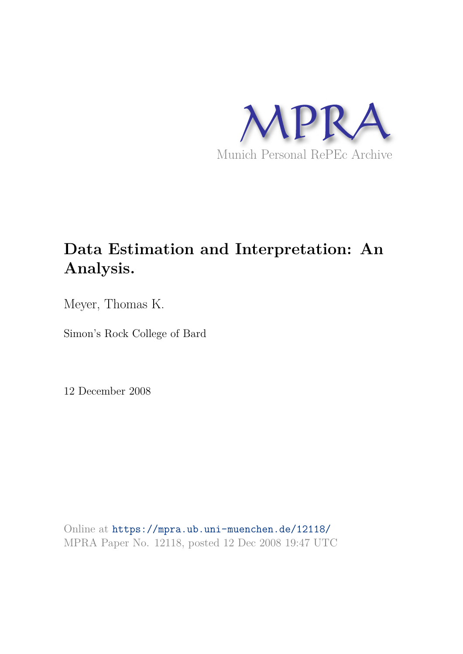

## **Data Estimation and Interpretation: An Analysis.**

Meyer, Thomas K.

Simon's Rock College of Bard

12 December 2008

Online at https://mpra.ub.uni-muenchen.de/12118/ MPRA Paper No. 12118, posted 12 Dec 2008 19:47 UTC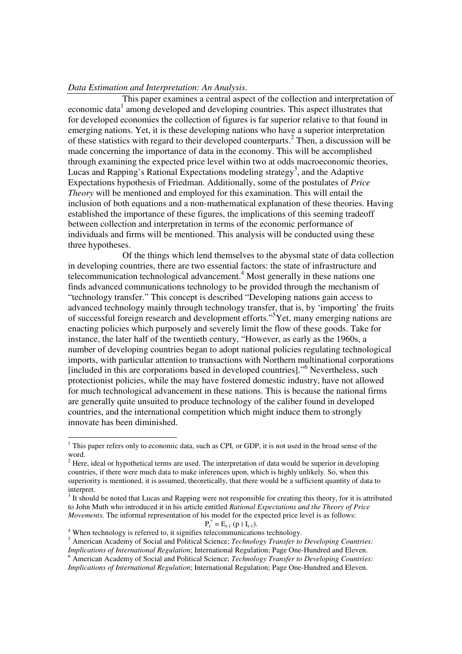## *Data Estimation and Interpretation: An Analysis*.

This paper examines a central aspect of the collection and interpretation of economic data<sup>1</sup> among developed and developing countries. This aspect illustrates that for developed economies the collection of figures is far superior relative to that found in emerging nations. Yet, it is these developing nations who have a superior interpretation of these statistics with regard to their developed counterparts.<sup>2</sup> Then, a discussion will be made concerning the importance of data in the economy. This will be accomplished through examining the expected price level within two at odds macroeconomic theories, Lucas and Rapping's Rational Expectations modeling strategy<sup>3</sup>, and the Adaptive Expectations hypothesis of Friedman. Additionally, some of the postulates of *Price Theory* will be mentioned and employed for this examination. This will entail the inclusion of both equations and a non-mathematical explanation of these theories. Having established the importance of these figures, the implications of this seeming tradeoff between collection and interpretation in terms of the economic performance of individuals and firms will be mentioned. This analysis will be conducted using these three hypotheses.

Of the things which lend themselves to the abysmal state of data collection in developing countries, there are two essential factors: the state of infrastructure and telecommunication technological advancement.<sup>4</sup> Most generally in these nations one finds advanced communications technology to be provided through the mechanism of "technology transfer." This concept is described "Developing nations gain access to advanced technology mainly through technology transfer, that is, by 'importing' the fruits of successful foreign research and development efforts."<sup>5</sup>Yet, many emerging nations are enacting policies which purposely and severely limit the flow of these goods. Take for instance, the later half of the twentieth century, "However, as early as the 1960s, a number of developing countries began to adopt national policies regulating technological imports, with particular attention to transactions with Northern multinational corporations [included in this are corporations based in developed countries]."<sup>6</sup> Nevertheless, such protectionist policies, while the may have fostered domestic industry, have not allowed for much technological advancement in these nations. This is because the national firms are generally quite unsuited to produce technology of the caliber found in developed countries, and the international competition which might induce them to strongly innovate has been diminished.

 $P_t^* = E_{t-1} (p \mid I_{t-1}).$ 

-

5 American Academy of Social and Political Science; *Technology Transfer to Developing Countries: Implications of International Regulation*; International Regulation; Page One-Hundred and Eleven. 6 American Academy of Social and Political Science; *Technology Transfer to Developing Countries:* 

*Implications of International Regulation*; International Regulation; Page One-Hundred and Eleven.

<sup>&</sup>lt;sup>1</sup> This paper refers only to economic data, such as CPI, or GDP, it is not used in the broad sense of the word.

 $2$  Here, ideal or hypothetical terms are used. The interpretation of data would be superior in developing countries, if there were much data to make inferences upon, which is highly unlikely. So, when this superiority is mentioned, it is assumed, theoretically, that there would be a sufficient quantity of data to interpret.

 $3$  It should be noted that Lucas and Rapping were not responsible for creating this theory, for it is attributed to John Muth who introduced it in his article entitled *Rational Expectations and the Theory of Price Movements*. The informal representation of his model for the expected price level is as follows:

<sup>&</sup>lt;sup>4</sup> When technology is referred to, it signifies telecommunications technology.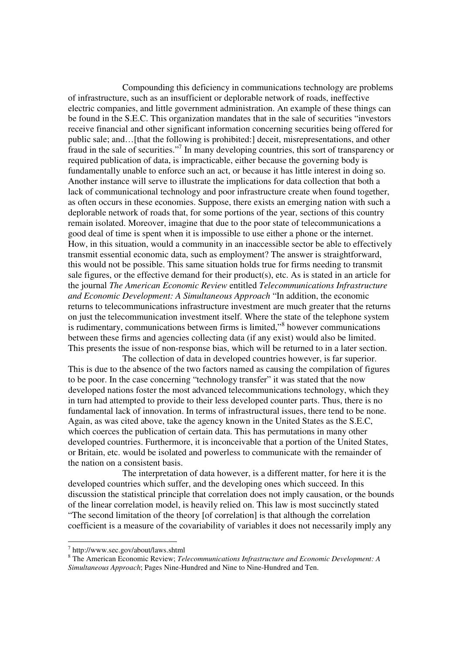Compounding this deficiency in communications technology are problems of infrastructure, such as an insufficient or deplorable network of roads, ineffective electric companies, and little government administration. An example of these things can be found in the S.E.C. This organization mandates that in the sale of securities "investors receive financial and other significant information concerning securities being offered for public sale; and…[that the following is prohibited:] deceit, misrepresentations, and other fraud in the sale of securities."<sup>7</sup> In many developing countries, this sort of transparency or required publication of data, is impracticable, either because the governing body is fundamentally unable to enforce such an act, or because it has little interest in doing so. Another instance will serve to illustrate the implications for data collection that both a lack of communicational technology and poor infrastructure create when found together, as often occurs in these economies. Suppose, there exists an emerging nation with such a deplorable network of roads that, for some portions of the year, sections of this country remain isolated. Moreover, imagine that due to the poor state of telecommunications a good deal of time is spent when it is impossible to use either a phone or the internet. How, in this situation, would a community in an inaccessible sector be able to effectively transmit essential economic data, such as employment? The answer is straightforward, this would not be possible. This same situation holds true for firms needing to transmit sale figures, or the effective demand for their product(s), etc. As is stated in an article for the journal *The American Economic Review* entitled *Telecommunications Infrastructure and Economic Development: A Simultaneous Approach* "In addition, the economic returns to telecommunications infrastructure investment are much greater that the returns on just the telecommunication investment itself. Where the state of the telephone system is rudimentary, communications between firms is limited,"<sup>8</sup> however communications between these firms and agencies collecting data (if any exist) would also be limited. This presents the issue of non-response bias, which will be returned to in a later section.

The collection of data in developed countries however, is far superior. This is due to the absence of the two factors named as causing the compilation of figures to be poor. In the case concerning "technology transfer" it was stated that the now developed nations foster the most advanced telecommunications technology, which they in turn had attempted to provide to their less developed counter parts. Thus, there is no fundamental lack of innovation. In terms of infrastructural issues, there tend to be none. Again, as was cited above, take the agency known in the United States as the S.E.C, which coerces the publication of certain data. This has permutations in many other developed countries. Furthermore, it is inconceivable that a portion of the United States, or Britain, etc. would be isolated and powerless to communicate with the remainder of the nation on a consistent basis.

The interpretation of data however, is a different matter, for here it is the developed countries which suffer, and the developing ones which succeed. In this discussion the statistical principle that correlation does not imply causation, or the bounds of the linear correlation model, is heavily relied on. This law is most succinctly stated "The second limitation of the theory [of correlation] is that although the correlation coefficient is a measure of the covariability of variables it does not necessarily imply any

<sup>7</sup> http://www.sec.gov/about/laws.shtml

<sup>8</sup> The American Economic Review; *Telecommunications Infrastructure and Economic Development: A Simultaneous Approach*; Pages Nine-Hundred and Nine to Nine-Hundred and Ten.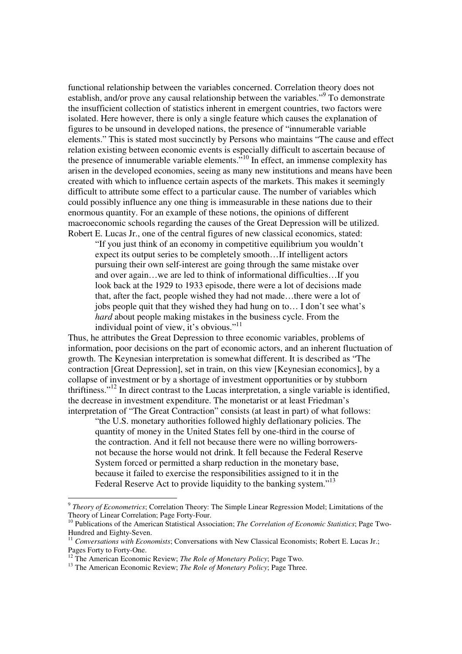functional relationship between the variables concerned. Correlation theory does not establish, and/or prove any causal relationship between the variables."<sup>9</sup> To demonstrate the insufficient collection of statistics inherent in emergent countries, two factors were isolated. Here however, there is only a single feature which causes the explanation of figures to be unsound in developed nations, the presence of "innumerable variable elements." This is stated most succinctly by Persons who maintains "The cause and effect relation existing between economic events is especially difficult to ascertain because of the presence of innumerable variable elements.<sup>510</sup> In effect, an immense complexity has arisen in the developed economies, seeing as many new institutions and means have been created with which to influence certain aspects of the markets. This makes it seemingly difficult to attribute some effect to a particular cause. The number of variables which could possibly influence any one thing is immeasurable in these nations due to their enormous quantity. For an example of these notions, the opinions of different macroeconomic schools regarding the causes of the Great Depression will be utilized. Robert E. Lucas Jr., one of the central figures of new classical economics, stated:

"If you just think of an economy in competitive equilibrium you wouldn't expect its output series to be completely smooth…If intelligent actors pursuing their own self-interest are going through the same mistake over and over again…we are led to think of informational difficulties…If you look back at the 1929 to 1933 episode, there were a lot of decisions made that, after the fact, people wished they had not made…there were a lot of jobs people quit that they wished they had hung on to… I don't see what's *hard* about people making mistakes in the business cycle. From the individual point of view, it's obvious."<sup>11</sup>

Thus, he attributes the Great Depression to three economic variables, problems of information, poor decisions on the part of economic actors, and an inherent fluctuation of growth. The Keynesian interpretation is somewhat different. It is described as "The contraction [Great Depression], set in train, on this view [Keynesian economics], by a collapse of investment or by a shortage of investment opportunities or by stubborn thriftiness."<sup>12</sup> In direct contrast to the Lucas interpretation, a single variable is identified, the decrease in investment expenditure. The monetarist or at least Friedman's interpretation of "The Great Contraction" consists (at least in part) of what follows:

"the U.S. monetary authorities followed highly deflationary policies. The quantity of money in the United States fell by one-third in the course of the contraction. And it fell not because there were no willing borrowersnot because the horse would not drink. It fell because the Federal Reserve System forced or permitted a sharp reduction in the monetary base, because it failed to exercise the responsibilities assigned to it in the Federal Reserve Act to provide liquidity to the banking system."<sup>13</sup>

 9 *Theory of Econometrics*; Correlation Theory: The Simple Linear Regression Model; Limitations of the Theory of Linear Correlation; Page Forty-Four.

<sup>10</sup> Publications of the American Statistical Association; *The Correlation of Economic Statistics*; Page Two-Hundred and Eighty-Seven.

<sup>11</sup> *Conversations with Economists*; Conversations with New Classical Economists; Robert E. Lucas Jr.; Pages Forty to Forty-One.

<sup>12</sup> The American Economic Review; *The Role of Monetary Policy*; Page Two.

<sup>&</sup>lt;sup>13</sup> The American Economic Review; *The Role of Monetary Policy*; Page Three.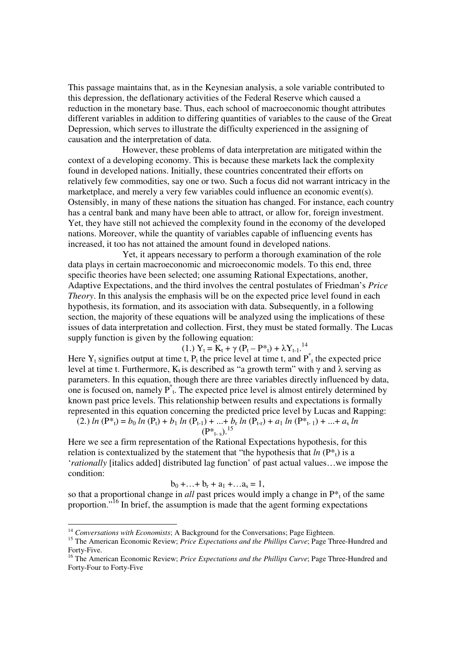This passage maintains that, as in the Keynesian analysis, a sole variable contributed to this depression, the deflationary activities of the Federal Reserve which caused a reduction in the monetary base. Thus, each school of macroeconomic thought attributes different variables in addition to differing quantities of variables to the cause of the Great Depression, which serves to illustrate the difficulty experienced in the assigning of causation and the interpretation of data.

However, these problems of data interpretation are mitigated within the context of a developing economy. This is because these markets lack the complexity found in developed nations. Initially, these countries concentrated their efforts on relatively few commodities, say one or two. Such a focus did not warrant intricacy in the marketplace, and merely a very few variables could influence an economic event(s). Ostensibly, in many of these nations the situation has changed. For instance, each country has a central bank and many have been able to attract, or allow for, foreign investment. Yet, they have still not achieved the complexity found in the economy of the developed nations. Moreover, while the quantity of variables capable of influencing events has increased, it too has not attained the amount found in developed nations.

Yet, it appears necessary to perform a thorough examination of the role data plays in certain macroeconomic and microeconomic models. To this end, three specific theories have been selected; one assuming Rational Expectations, another, Adaptive Expectations, and the third involves the central postulates of Friedman's *Price Theory*. In this analysis the emphasis will be on the expected price level found in each hypothesis, its formation, and its association with data. Subsequently, in a following section, the majority of these equations will be analyzed using the implications of these issues of data interpretation and collection. First, they must be stated formally. The Lucas supply function is given by the following equation:

(1.) 
$$
Y_t = K_t + \gamma (P_t - P_{t}^*) + \lambda Y_{t-1}
$$
.<sup>14</sup>

Here  $Y_t$  signifies output at time t,  $P_t$  the price level at time t, and  $P^*$ <sub>t</sub> the expected price level at time t. Furthermore,  $K_t$  is described as "a growth term" with γ and λ serving as parameters. In this equation, though there are three variables directly influenced by data, one is focused on, namely  $P^*$ <sub>t</sub>. The expected price level is almost entirely determined by known past price levels. This relationship between results and expectations is formally represented in this equation concerning the predicted price level by Lucas and Rapping:

(2.) 
$$
\ln(P^*_{t}) = b_0 \ln(P_t) + b_1 \ln(P_{t-1}) + ... + b_r \ln(P_{t-r}) + a_1 \ln(P^*_{t-1}) + ... + a_s \ln(P_{t-s})
$$

Here we see a firm representation of the Rational Expectations hypothesis, for this relation is contextualized by the statement that "the hypothesis that  $ln(P^*)$  is a '*rationally* [italics added] distributed lag function' of past actual values…we impose the condition:

$$
b_0 + \ldots + b_r + a_1 + \ldots + a_s = 1,
$$

so that a proportional change in *all* past prices would imply a change in  $P^*$ <sub>t</sub> of the same proportion."<sup>16</sup> In brief, the assumption is made that the agent forming expectations

<sup>&</sup>lt;sup>14</sup> Conversations with Economists; A Background for the Conversations; Page Eighteen.

<sup>&</sup>lt;sup>15</sup> The American Economic Review; *Price Expectations and the Phillips Curve*; Page Three-Hundred and Forty-Five.

<sup>&</sup>lt;sup>16</sup> The American Economic Review; *Price Expectations and the Phillips Curve*; Page Three-Hundred and Forty-Four to Forty-Five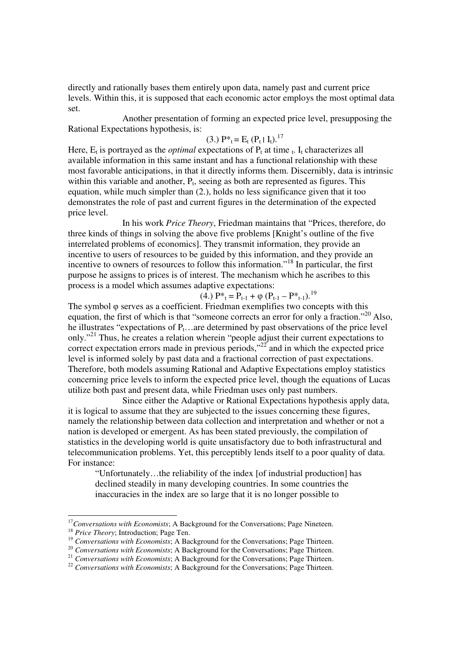directly and rationally bases them entirely upon data, namely past and current price levels. Within this, it is supposed that each economic actor employs the most optimal data set.

Another presentation of forming an expected price level, presupposing the Rational Expectations hypothesis, is:

$$
(3.) P^*_{t} = E_t (P_t | I_t).^{17}
$$

Here,  $E_t$  is portrayed as the *optimal* expectations of  $P_t$  at time  $t$ . I<sub>t</sub> characterizes all available information in this same instant and has a functional relationship with these most favorable anticipations, in that it directly informs them. Discernibly, data is intrinsic within this variable and another,  $P_t$ , seeing as both are represented as figures. This equation, while much simpler than (2.), holds no less significance given that it too demonstrates the role of past and current figures in the determination of the expected price level.

In his work *Price Theory*, Friedman maintains that "Prices, therefore, do three kinds of things in solving the above five problems [Knight's outline of the five interrelated problems of economics]. They transmit information, they provide an incentive to users of resources to be guided by this information, and they provide an incentive to owners of resources to follow this information."<sup>18</sup> In particular, the first purpose he assigns to prices is of interest. The mechanism which he ascribes to this process is a model which assumes adaptive expectations:

(4.)  $P^*_{t} = P_{t-1} + \varphi (P_{t-1} - P^*_{t-1}).^{19}$ 

The symbol φ serves as a coefficient. Friedman exemplifies two concepts with this equation, the first of which is that "someone corrects an error for only a fraction."<sup>20</sup> Also, he illustrates "expectations of  $P_t$ …are determined by past observations of the price level only."<sup>21</sup> Thus, he creates a relation wherein "people adjust their current expectations to correct expectation errors made in previous periods,"<sup>22</sup> and in which the expected price level is informed solely by past data and a fractional correction of past expectations. Therefore, both models assuming Rational and Adaptive Expectations employ statistics concerning price levels to inform the expected price level, though the equations of Lucas utilize both past and present data, while Friedman uses only past numbers.

Since either the Adaptive or Rational Expectations hypothesis apply data, it is logical to assume that they are subjected to the issues concerning these figures, namely the relationship between data collection and interpretation and whether or not a nation is developed or emergent. As has been stated previously, the compilation of statistics in the developing world is quite unsatisfactory due to both infrastructural and telecommunication problems. Yet, this perceptibly lends itself to a poor quality of data. For instance:

"Unfortunately…the reliability of the index [of industrial production] has declined steadily in many developing countries. In some countries the inaccuracies in the index are so large that it is no longer possible to

<sup>&</sup>lt;sup>17</sup>Conversations with Economists; A Background for the Conversations; Page Nineteen.

<sup>&</sup>lt;sup>18</sup> *Price Theory*; Introduction; Page Ten.

<sup>19</sup> *Conversations with Economists*; A Background for the Conversations; Page Thirteen.

<sup>&</sup>lt;sup>20</sup> *Conversations with Economists*; A Background for the Conversations; Page Thirteen.

<sup>&</sup>lt;sup>21</sup> *Conversations with Economists*; A Background for the Conversations; Page Thirteen.

<sup>&</sup>lt;sup>22</sup> Conversations with Economists; A Background for the Conversations; Page Thirteen.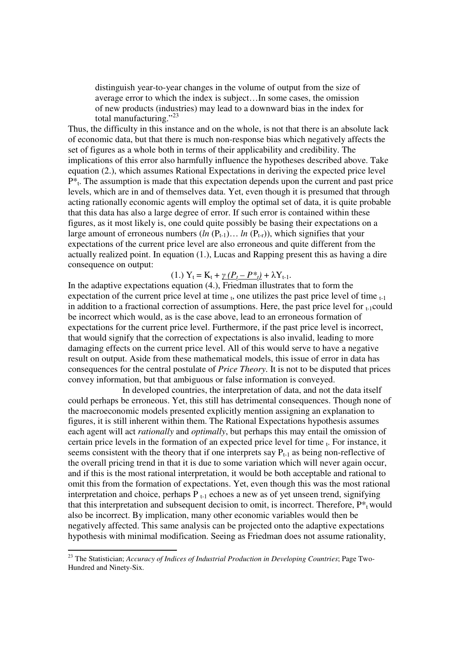distinguish year-to-year changes in the volume of output from the size of average error to which the index is subject…In some cases, the omission of new products (industries) may lead to a downward bias in the index for total manufacturing."<sup>23</sup>

Thus, the difficulty in this instance and on the whole, is not that there is an absolute lack of economic data, but that there is much non-response bias which negatively affects the set of figures as a whole both in terms of their applicability and credibility. The implications of this error also harmfully influence the hypotheses described above. Take equation (2.), which assumes Rational Expectations in deriving the expected price level  $P^*$ <sub>t</sub>. The assumption is made that this expectation depends upon the current and past price levels, which are in and of themselves data. Yet, even though it is presumed that through acting rationally economic agents will employ the optimal set of data, it is quite probable that this data has also a large degree of error. If such error is contained within these figures, as it most likely is, one could quite possibly be basing their expectations on a large amount of erroneous numbers  $(ln (P_{t-1})... ln (P_{t-r}))$ , which signifies that your expectations of the current price level are also erroneous and quite different from the actually realized point. In equation (1.), Lucas and Rapping present this as having a dire consequence on output:

## $(Y_1 = K_t + \gamma (P_t - P_{t}^*) + \lambda Y_{t-1}).$

In the adaptive expectations equation (4.), Friedman illustrates that to form the expectation of the current price level at time  $_{t}$ , one utilizes the past price level of time  $_{t-1}$ in addition to a fractional correction of assumptions. Here, the past price level for  $_{t-1}$ could be incorrect which would, as is the case above, lead to an erroneous formation of expectations for the current price level. Furthermore, if the past price level is incorrect, that would signify that the correction of expectations is also invalid, leading to more damaging effects on the current price level. All of this would serve to have a negative result on output. Aside from these mathematical models, this issue of error in data has consequences for the central postulate of *Price Theory*. It is not to be disputed that prices convey information, but that ambiguous or false information is conveyed.

In developed countries, the interpretation of data, and not the data itself could perhaps be erroneous. Yet, this still has detrimental consequences. Though none of the macroeconomic models presented explicitly mention assigning an explanation to figures, it is still inherent within them. The Rational Expectations hypothesis assumes each agent will act *rationally* and *optimally*, but perhaps this may entail the omission of certain price levels in the formation of an expected price level for time  $<sub>t</sub>$ . For instance, it</sub> seems consistent with the theory that if one interprets say  $P_{t-1}$  as being non-reflective of the overall pricing trend in that it is due to some variation which will never again occur, and if this is the most rational interpretation, it would be both acceptable and rational to omit this from the formation of expectations. Yet, even though this was the most rational interpretation and choice, perhaps  $P_{t-1}$  echoes a new as of yet unseen trend, signifying that this interpretation and subsequent decision to omit, is incorrect. Therefore,  $P^*$ <sub>t</sub> would also be incorrect. By implication, many other economic variables would then be negatively affected. This same analysis can be projected onto the adaptive expectations hypothesis with minimal modification. Seeing as Friedman does not assume rationality,

<sup>23</sup> The Statistician; *Accuracy of Indices of Industrial Production in Developing Countries*; Page Two-Hundred and Ninety-Six.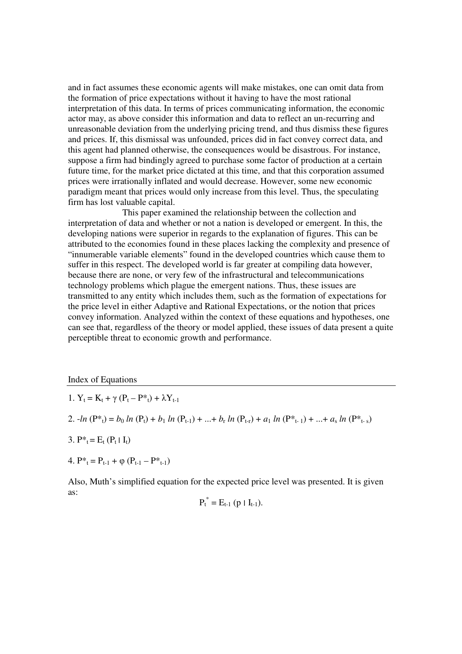and in fact assumes these economic agents will make mistakes, one can omit data from the formation of price expectations without it having to have the most rational interpretation of this data. In terms of prices communicating information, the economic actor may, as above consider this information and data to reflect an un-recurring and unreasonable deviation from the underlying pricing trend, and thus dismiss these figures and prices. If, this dismissal was unfounded, prices did in fact convey correct data, and this agent had planned otherwise, the consequences would be disastrous. For instance, suppose a firm had bindingly agreed to purchase some factor of production at a certain future time, for the market price dictated at this time, and that this corporation assumed prices were irrationally inflated and would decrease. However, some new economic paradigm meant that prices would only increase from this level. Thus, the speculating firm has lost valuable capital.

This paper examined the relationship between the collection and interpretation of data and whether or not a nation is developed or emergent. In this, the developing nations were superior in regards to the explanation of figures. This can be attributed to the economies found in these places lacking the complexity and presence of "innumerable variable elements" found in the developed countries which cause them to suffer in this respect. The developed world is far greater at compiling data however, because there are none, or very few of the infrastructural and telecommunications technology problems which plague the emergent nations. Thus, these issues are transmitted to any entity which includes them, such as the formation of expectations for the price level in either Adaptive and Rational Expectations, or the notion that prices convey information. Analyzed within the context of these equations and hypotheses, one can see that, regardless of the theory or model applied, these issues of data present a quite perceptible threat to economic growth and performance.

Index of Equations

1. 
$$
Y_t = K_t + \gamma (P_t - P^*t) + \lambda Y_{t-1}
$$

2. 
$$
-ln (P^*_{t}) = b_0 ln (P_t) + b_1 ln (P_{t-1}) + ... + b_r ln (P_{t-r}) + a_1 ln (P^*_{t-1}) + ... + a_s ln (P^*_{t-s})
$$

- 3.  $P^*_{t} = E_t (P_t | I_t)$
- 4.  $P^*_{t} = P_{t-1} + \varphi (P_{t-1} P^*_{t-1})$

Also, Muth's simplified equation for the expected price level was presented. It is given as:

$$
P_t^* = E_{t-1} (p \mid I_{t-1}).
$$